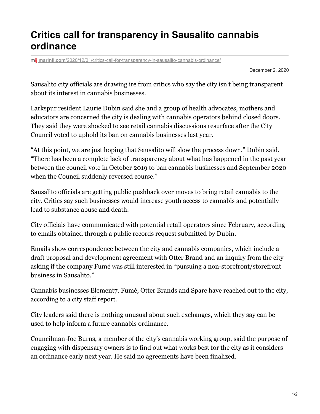## **Critics call for transparency in Sausalito cannabis ordinance**

**marinij.com**[/2020/12/01/critics-call-for-transparency-in-sausalito-cannabis-ordinance/](https://www.marinij.com/2020/12/01/critics-call-for-transparency-in-sausalito-cannabis-ordinance/)

December 2, 2020

Sausalito city officials are drawing ire from critics who say the city isn't being transparent about its interest in cannabis businesses.

Larkspur resident Laurie Dubin said she and a group of health advocates, mothers and educators are concerned the city is dealing with cannabis operators behind closed doors. They said they were shocked to see retail cannabis discussions resurface after the City Council voted to uphold its ban on cannabis businesses last year.

"At this point, we are just hoping that Sausalito will slow the process down," Dubin said. "There has been a complete lack of transparency about what has happened in the past year between the council vote in October 2019 to ban cannabis businesses and September 2020 when the Council suddenly reversed course."

Sausalito officials are getting public pushback over moves to bring retail cannabis to the city. Critics say such businesses would increase youth access to cannabis and potentially lead to substance abuse and death.

City officials have communicated with potential retail operators since February, according to emails obtained through a public records request submitted by Dubin.

Emails show correspondence between the city and cannabis companies, which include a draft proposal and development agreement with Otter Brand and an inquiry from the city asking if the company Fumé was still interested in "pursuing a non-storefront/storefront business in Sausalito."

Cannabis businesses Element7, Fumé, Otter Brands and Sparc have reached out to the city, according to a city staff report.

City leaders said there is nothing unusual about such exchanges, which they say can be used to help inform a future cannabis ordinance.

Councilman Joe Burns, a member of the city's cannabis working group, said the purpose of engaging with dispensary owners is to find out what works best for the city as it considers an ordinance early next year. He said no agreements have been finalized.